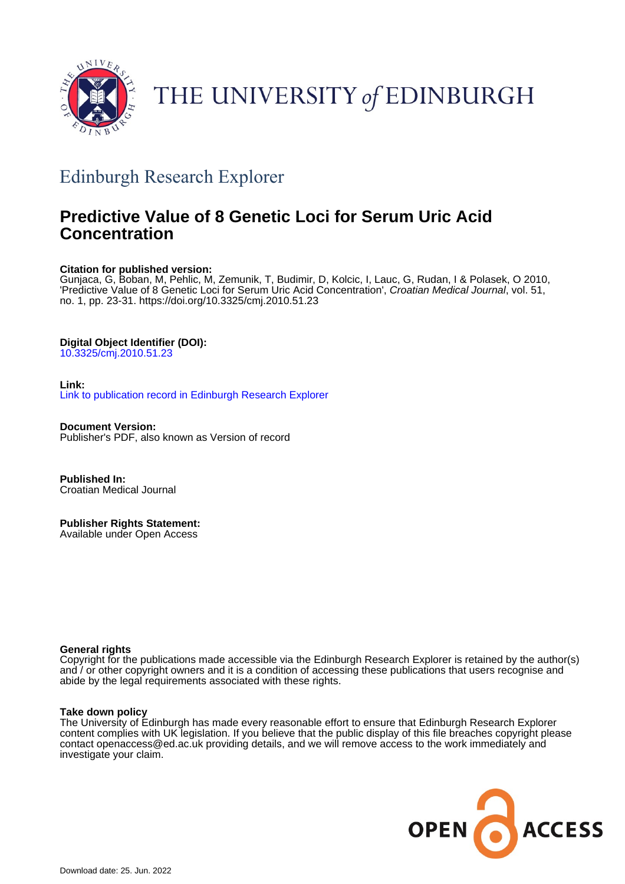

# THE UNIVERSITY of EDINBURGH

### Edinburgh Research Explorer

### **Predictive Value of 8 Genetic Loci for Serum Uric Acid Concentration**

#### **Citation for published version:**

Gunjaca, G, Boban, M, Pehlic, M, Zemunik, T, Budimir, D, Kolcic, I, Lauc, G, Rudan, I & Polasek, O 2010, 'Predictive Value of 8 Genetic Loci for Serum Uric Acid Concentration', Croatian Medical Journal, vol. 51, no. 1, pp. 23-31. <https://doi.org/10.3325/cmj.2010.51.23>

#### **Digital Object Identifier (DOI):**

[10.3325/cmj.2010.51.23](https://doi.org/10.3325/cmj.2010.51.23)

#### **Link:**

[Link to publication record in Edinburgh Research Explorer](https://www.research.ed.ac.uk/en/publications/153cc145-5854-4158-9a3e-6ada29e0206f)

**Document Version:** Publisher's PDF, also known as Version of record

**Published In:** Croatian Medical Journal

**Publisher Rights Statement:** Available under Open Access

#### **General rights**

Copyright for the publications made accessible via the Edinburgh Research Explorer is retained by the author(s) and / or other copyright owners and it is a condition of accessing these publications that users recognise and abide by the legal requirements associated with these rights.

#### **Take down policy**

The University of Edinburgh has made every reasonable effort to ensure that Edinburgh Research Explorer content complies with UK legislation. If you believe that the public display of this file breaches copyright please contact openaccess@ed.ac.uk providing details, and we will remove access to the work immediately and investigate your claim.

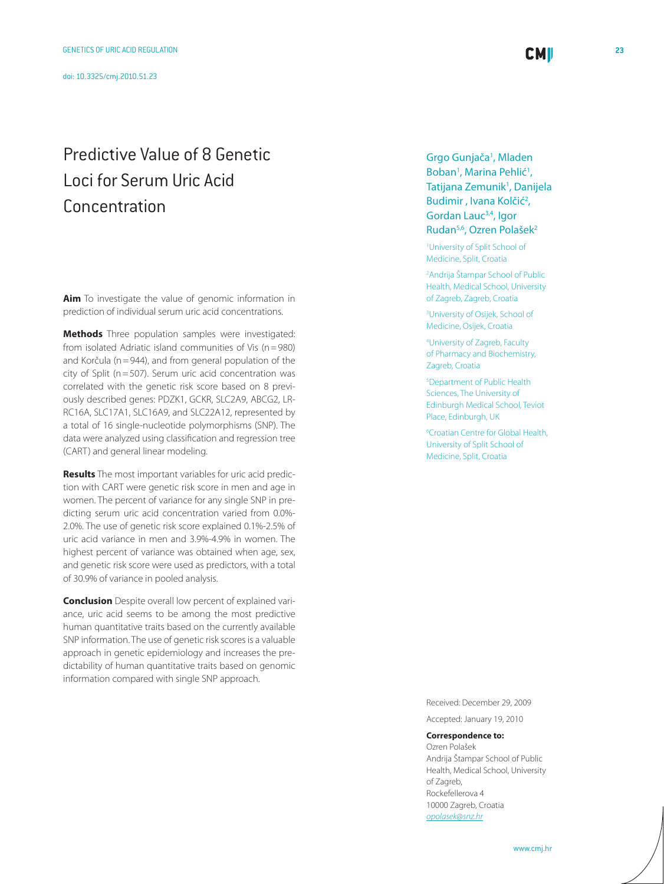## Predictive Value of 8 Genetic Loci for Serum Uric Acid Concentration

**Aim** To investigate the value of genomic information in prediction of individual serum uric acid concentrations.

**Methods** Three population samples were investigated: from isolated Adriatic island communities of Vis (n=980) and Korčula (n=944), and from general population of the city of Split (n=507). Serum uric acid concentration was correlated with the genetic risk score based on 8 previously described genes: PDZK1, GCKR, SLC2A9, ABCG2, LR-RC16A, SLC17A1, SLC16A9, and SLC22A12, represented by a total of 16 single-nucleotide polymorphisms (SNP). The data were analyzed using classification and regression tree (CART) and general linear modeling.

**Results** The most important variables for uric acid prediction with CART were genetic risk score in men and age in women. The percent of variance for any single SNP in predicting serum uric acid concentration varied from 0.0%- 2.0%. The use of genetic risk score explained 0.1%-2.5% of uric acid variance in men and 3.9%-4.9% in women. The highest percent of variance was obtained when age, sex, and genetic risk score were used as predictors, with a total of 30.9% of variance in pooled analysis.

**Conclusion** Despite overall low percent of explained variance, uric acid seems to be among the most predictive human quantitative traits based on the currently available SNP information. The use of genetic risk scores is a valuable approach in genetic epidemiology and increases the predictability of human quantitative traits based on genomic information compared with single SNP approach.

Grgo Gunjača<sup>1</sup>, Mladen Boban<sup>1</sup>, Marina Pehlić<sup>1</sup>, Tatijana Zemunik<sup>1</sup>, Danijela Budimir, Ivana Kolčić<sup>2</sup>, Gordan Lauc3,4, Igor Rudan5,6, Ozren Polašek2

**CMI** 

1 University of Split School of Medicine, Split, Croatia

2 Andrija Štampar School of Public Health, Medical School, University of Zagreb, Zagreb, Croatia

3 University of Osijek, School of Medicine, Osijek, Croatia

4 University of Zagreb, Faculty of Pharmacy and Biochemistry, Zagreb, Croatia

5 Department of Public Health Sciences, The University of Edinburgh Medical School, Teviot Place, Edinburgh, UK

6 Croatian Centre for Global Health, University of Split School of Medicine, Split, Croatia

Received: December 29, 2009 Accepted: January 19, 2010

#### **Correspondence to:**

Ozren Polašek Andrija Štampar School of Public Health, Medical School, University of Zagreb, Rockefellerova 4 10000 Zagreb, Croatia *[opolasek@snz.hr](mailto: opolasek@snz.hr)*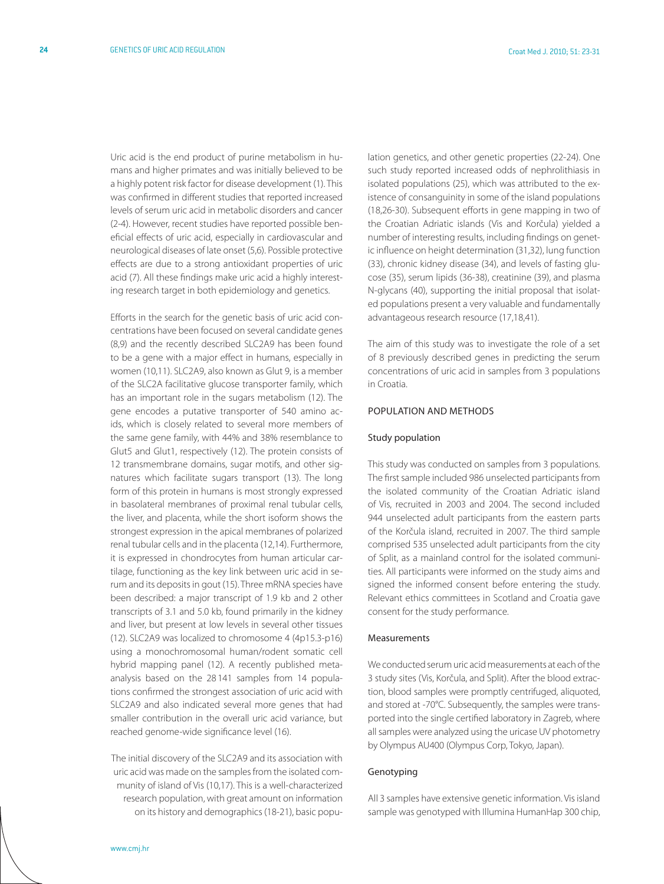Uric acid is the end product of purine metabolism in humans and higher primates and was initially believed to be a highly potent risk factor for disease development (1). This was confirmed in different studies that reported increased levels of serum uric acid in metabolic disorders and cancer (2-4). However, recent studies have reported possible beneficial effects of uric acid, especially in cardiovascular and neurological diseases of late onset (5,6). Possible protective effects are due to a strong antioxidant properties of uric acid (7). All these findings make uric acid a highly interesting research target in both epidemiology and genetics.

Efforts in the search for the genetic basis of uric acid concentrations have been focused on several candidate genes (8,9) and the recently described SLC2A9 has been found to be a gene with a major effect in humans, especially in women (10,11). SLC2A9, also known as Glut 9, is a member of the SLC2A facilitative glucose transporter family, which has an important role in the sugars metabolism (12). The gene encodes a putative transporter of 540 amino acids, which is closely related to several more members of the same gene family, with 44% and 38% resemblance to Glut5 and Glut1, respectively (12). The protein consists of 12 transmembrane domains, sugar motifs, and other signatures which facilitate sugars transport (13). The long form of this protein in humans is most strongly expressed in basolateral membranes of proximal renal tubular cells, the liver, and placenta, while the short isoform shows the strongest expression in the apical membranes of polarized renal tubular cells and in the placenta (12,14). Furthermore, it is expressed in chondrocytes from human articular cartilage, functioning as the key link between uric acid in serum and its deposits in gout (15). Three mRNA species have been described: a major transcript of 1.9 kb and 2 other transcripts of 3.1 and 5.0 kb, found primarily in the kidney and liver, but present at low levels in several other tissues (12). SLC2A9 was localized to chromosome 4 (4p15.3-p16) using a monochromosomal human/rodent somatic cell hybrid mapping panel (12). A recently published metaanalysis based on the 28 141 samples from 14 populations confirmed the strongest association of uric acid with SLC2A9 and also indicated several more genes that had smaller contribution in the overall uric acid variance, but reached genome-wide significance level (16).

The initial discovery of the SLC2A9 and its association with uric acid was made on the samples from the isolated community of island of Vis (10,17). This is a well-characterized research population, with great amount on information on its history and demographics (18-21), basic population genetics, and other genetic properties (22-24). One such study reported increased odds of nephrolithiasis in isolated populations (25), which was attributed to the existence of consanguinity in some of the island populations (18,26-30). Subsequent efforts in gene mapping in two of the Croatian Adriatic islands (Vis and Korčula) yielded a number of interesting results, including findings on genetic influence on height determination (31,32), lung function (33), chronic kidney disease (34), and levels of fasting glucose (35), serum lipids (36-38), creatinine (39), and plasma N-glycans (40), supporting the initial proposal that isolated populations present a very valuable and fundamentally advantageous research resource (17,18,41).

The aim of this study was to investigate the role of a set of 8 previously described genes in predicting the serum concentrations of uric acid in samples from 3 populations in Croatia.

#### Population and methods

#### Study population

This study was conducted on samples from 3 populations. The first sample included 986 unselected participants from the isolated community of the Croatian Adriatic island of Vis, recruited in 2003 and 2004. The second included 944 unselected adult participants from the eastern parts of the Korčula island, recruited in 2007. The third sample comprised 535 unselected adult participants from the city of Split, as a mainland control for the isolated communities. All participants were informed on the study aims and signed the informed consent before entering the study. Relevant ethics committees in Scotland and Croatia gave consent for the study performance.

#### Measurements

We conducted serum uric acid measurements at each of the 3 study sites (Vis, Korčula, and Split). After the blood extraction, blood samples were promptly centrifuged, aliquoted, and stored at -70°C. Subsequently, the samples were transported into the single certified laboratory in Zagreb, where all samples were analyzed using the uricase UV photometry by Olympus AU400 (Olympus Corp, Tokyo, Japan).

#### Genotyping

All 3 samples have extensive genetic information. Vis island sample was genotyped with Illumina HumanHap 300 chip,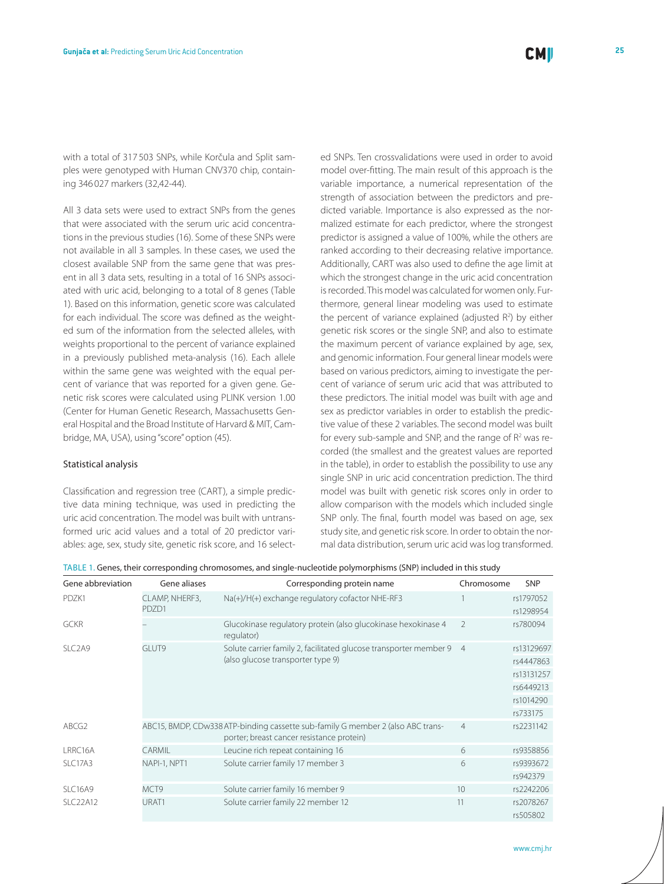with a total of 317 503 SNPs, while Korčula and Split samples were genotyped with Human CNV370 chip, containing 346 027 markers (32,42-44).

All 3 data sets were used to extract SNPs from the genes that were associated with the serum uric acid concentrations in the previous studies (16). Some of these SNPs were not available in all 3 samples. In these cases, we used the closest available SNP from the same gene that was present in all 3 data sets, resulting in a total of 16 SNPs associated with uric acid, belonging to a total of 8 genes (Table 1). Based on this information, genetic score was calculated for each individual. The score was defined as the weighted sum of the information from the selected alleles, with weights proportional to the percent of variance explained in a previously published meta-analysis (16). Each allele within the same gene was weighted with the equal percent of variance that was reported for a given gene. Genetic risk scores were calculated using PLINK version 1.00 (Center for Human Genetic Research, Massachusetts General Hospital and the Broad Institute of Harvard & MIT, Cambridge, MA, USA), using "score" option (45).

#### Statistical analysis

Classification and regression tree (CART), a simple predictive data mining technique, was used in predicting the uric acid concentration. The model was built with untransformed uric acid values and a total of 20 predictor variables: age, sex, study site, genetic risk score, and 16 selected SNPs. Ten crossvalidations were used in order to avoid model over-fitting. The main result of this approach is the variable importance, a numerical representation of the strength of association between the predictors and predicted variable. Importance is also expressed as the normalized estimate for each predictor, where the strongest predictor is assigned a value of 100%, while the others are ranked according to their decreasing relative importance. Additionally, CART was also used to define the age limit at which the strongest change in the uric acid concentration is recorded. This model was calculated for women only. Furthermore, general linear modeling was used to estimate the percent of variance explained (adjusted  $R^2$ ) by either genetic risk scores or the single SNP, and also to estimate the maximum percent of variance explained by age, sex, and genomic information. Four general linear models were based on various predictors, aiming to investigate the percent of variance of serum uric acid that was attributed to these predictors. The initial model was built with age and sex as predictor variables in order to establish the predictive value of these 2 variables. The second model was built for every sub-sample and SNP, and the range of  $R<sup>2</sup>$  was recorded (the smallest and the greatest values are reported in the table), in order to establish the possibility to use any single SNP in uric acid concentration prediction. The third model was built with genetic risk scores only in order to allow comparison with the models which included single SNP only. The final, fourth model was based on age, sex study site, and genetic risk score. In order to obtain the normal data distribution, serum uric acid was log transformed.

| Gene abbreviation               | Gene aliases            | Corresponding protein name                                                                                                   | Chromosome      | <b>SNP</b>                                                                  |
|---------------------------------|-------------------------|------------------------------------------------------------------------------------------------------------------------------|-----------------|-----------------------------------------------------------------------------|
| PDZK1                           | CLAMP, NHERF3,<br>PDZD1 | Na(+)/H(+) exchange regulatory cofactor NHE-RF3                                                                              |                 | rs1797052<br>rs1298954                                                      |
| <b>GCKR</b>                     |                         | Glucokinase regulatory protein (also glucokinase hexokinase 4<br>regulator)                                                  | $\mathfrak{D}$  | rs780094                                                                    |
| SLC <sub>2</sub> A <sub>9</sub> | GI UT9                  | Solute carrier family 2, facilitated glucose transporter member 9<br>(also glucose transporter type 9)                       | $\overline{4}$  | rs13129697<br>rs4447863<br>rs13131257<br>rs6449213<br>rs1014290<br>rs733175 |
| ABCG2                           |                         | ABC15, BMDP, CDw338 ATP-binding cassette sub-family G member 2 (also ABC trans-<br>porter; breast cancer resistance protein) | $\overline{4}$  | rs2231142                                                                   |
| LRRC16A                         | CARMIL                  | Leucine rich repeat containing 16                                                                                            | 6               | rs9358856                                                                   |
| SLC17A3                         | NAPI-1, NPT1            | Solute carrier family 17 member 3                                                                                            | 6               | rs9393672<br>rs942379                                                       |
| SLC16A9                         | MCT9                    | Solute carrier family 16 member 9                                                                                            | 10 <sup>2</sup> | rs2242206                                                                   |
| <b>SLC22A12</b>                 | URAT1                   | Solute carrier family 22 member 12                                                                                           | 11              | rs2078267<br>rs505802                                                       |

Table 1. Genes, their corresponding chromosomes, and single-nucleotide polymorphisms (SNP) included in this study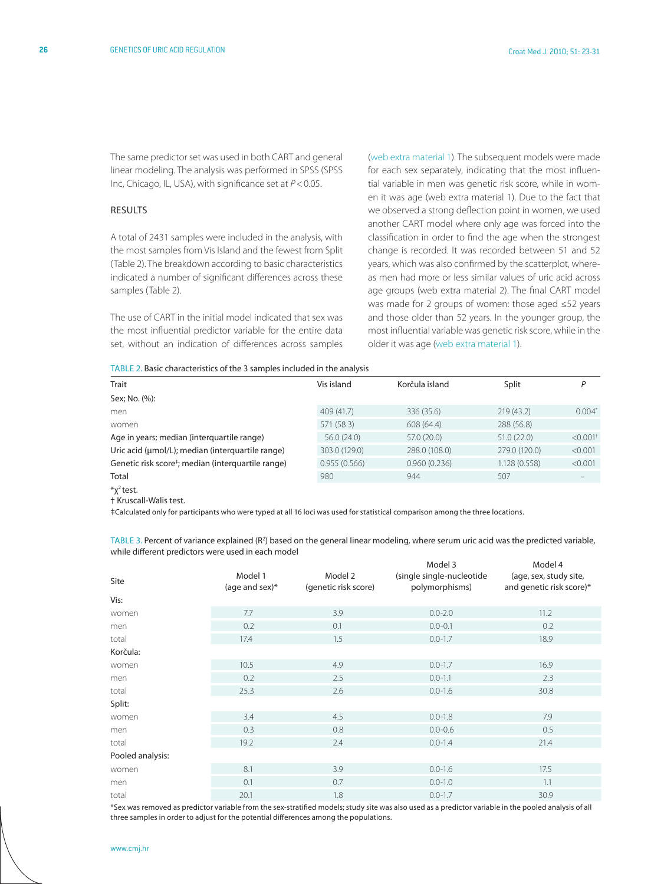The same predictor set was used in both CART and general linear modeling. The analysis was performed in SPSS (SPSS Inc, Chicago, IL, USA), with significance set at *P*<0.05.

#### **RESULTS**

A total of 2431 samples were included in the analysis, with the most samples from Vis Island and the fewest from Split (Table 2). The breakdown according to basic characteristics indicated a number of significant differences across these samples (Table 2).

The use of CART in the initial model indicated that sex was the most influential predictor variable for the entire data set, without an indication of differences across samples ([web extra material 1](http://www.cmj.hr/2010/51/1/gunjaca web extra 1.pdf)). The subsequent models were made for each sex separately, indicating that the most influential variable in men was genetic risk score, while in women it was age (web extra material 1). Due to the fact that we observed a strong deflection point in women, we used another CART model where only age was forced into the classification in order to find the age when the strongest change is recorded. It was recorded between 51 and 52 years, which was also confirmed by the scatterplot, whereas men had more or less similar values of uric acid across age groups (web extra material 2). The final CART model was made for 2 groups of women: those aged ≤52 years and those older than 52 years. In the younger group, the most influential variable was genetic risk score, while in the older it was age [\(web extra material 1](http://www.cmj.hr/2010/51/1/gunjaca web extra 1.pdf)).

| TABLE 2. Basic characteristics of the 3 samples included in the analysis |  |  |
|--------------------------------------------------------------------------|--|--|

| Trait                                                          | Vis island    | Korčula island | Split         | Ρ                      |
|----------------------------------------------------------------|---------------|----------------|---------------|------------------------|
| Sex; No. (%):                                                  |               |                |               |                        |
| men                                                            | 409 (41.7)    | 336 (35.6)     | 219(43.2)     | $0.004*$               |
| women                                                          | 571 (58.3)    | 608 (64.4)     | 288 (56.8)    |                        |
| Age in years; median (interquartile range)                     | 56.0(24.0)    | 57.0 (20.0)    | 51.0(22.0)    | $< 0.001$ <sup>+</sup> |
| Uric acid (µmol/L); median (interquartile range)               | 303.0 (129.0) | 288.0 (108.0)  | 279.0 (120.0) | < 0.001                |
| Genetic risk score <sup>+</sup> ; median (interquartile range) | 0.955(0.566)  | 0.960(0.236)   | 1.128 (0.558) | < 0.001                |
| Total                                                          | 980           | 944            | 507           |                        |
| $\sqrt[k]{2}$ test.<br>† Kruscall-Walis test.                  |               |                |               |                        |

‡Calculated only for participants who were typed at all 16 loci was used for statistical comparison among the three locations.

TABLE 3. Percent of variance explained (R<sup>2</sup>) based on the general linear modeling, where serum uric acid was the predicted variable, while different predictors were used in each model

| Site             | Model 1<br>(age and sex) $*$ | Model 2<br>(genetic risk score) | Model 3<br>(single single-nucleotide<br>polymorphisms) | Model 4<br>(age, sex, study site,<br>and genetic risk score)* |
|------------------|------------------------------|---------------------------------|--------------------------------------------------------|---------------------------------------------------------------|
| Vis:             |                              |                                 |                                                        |                                                               |
| women            | 7.7                          | 3.9                             | $0.0 - 2.0$                                            | 11.2                                                          |
| men              | 0.2                          | 0.1                             | $0.0 - 0.1$                                            | 0.2                                                           |
| total            | 17.4                         | 1.5                             | $0.0 - 1.7$                                            | 18.9                                                          |
| Korčula:         |                              |                                 |                                                        |                                                               |
| women            | 10.5                         | 4.9                             | $0.0 - 1.7$                                            | 16.9                                                          |
| men              | 0.2                          | 2.5                             | $0.0 - 1.1$                                            | 2.3                                                           |
| total            | 25.3                         | 2.6                             | $0.0 - 1.6$                                            | 30.8                                                          |
| Split:           |                              |                                 |                                                        |                                                               |
| women            | 3.4                          | 4.5                             | $0.0 - 1.8$                                            | 7.9                                                           |
| men              | 0.3                          | 0.8                             | $0.0 - 0.6$                                            | 0.5                                                           |
| total            | 19.2                         | 2.4                             | $0.0 - 1.4$                                            | 21.4                                                          |
| Pooled analysis: |                              |                                 |                                                        |                                                               |
| women            | 8.1                          | 3.9                             | $0.0 - 1.6$                                            | 17.5                                                          |
| men              | 0.1                          | 0.7                             | $0.0 - 1.0$                                            | 1.1                                                           |
| total            | 20.1                         | 1.8                             | $0.0 - 1.7$                                            | 30.9                                                          |

\*Sex was removed as predictor variable from the sex-stratified models; study site was also used as a predictor variable in the pooled analysis of all three samples in order to adjust for the potential differences among the populations.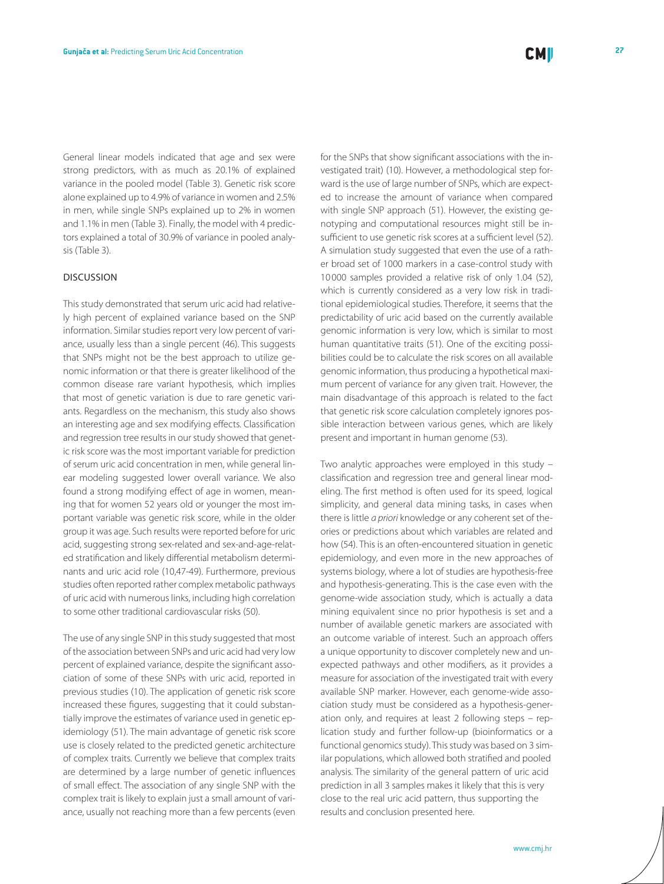General linear models indicated that age and sex were strong predictors, with as much as 20.1% of explained variance in the pooled model (Table 3). Genetic risk score alone explained up to 4.9% of variance in women and 2.5% in men, while single SNPs explained up to 2% in women and 1.1% in men (Table 3). Finally, the model with 4 predictors explained a total of 30.9% of variance in pooled analysis (Table 3).

#### Discussion

This study demonstrated that serum uric acid had relatively high percent of explained variance based on the SNP information. Similar studies report very low percent of variance, usually less than a single percent (46). This suggests that SNPs might not be the best approach to utilize genomic information or that there is greater likelihood of the common disease rare variant hypothesis, which implies that most of genetic variation is due to rare genetic variants. Regardless on the mechanism, this study also shows an interesting age and sex modifying effects. Classification and regression tree results in our study showed that genetic risk score was the most important variable for prediction of serum uric acid concentration in men, while general linear modeling suggested lower overall variance. We also found a strong modifying effect of age in women, meaning that for women 52 years old or younger the most important variable was genetic risk score, while in the older group it was age. Such results were reported before for uric acid, suggesting strong sex-related and sex-and-age-related stratification and likely differential metabolism determinants and uric acid role (10,47-49). Furthermore, previous studies often reported rather complex metabolic pathways of uric acid with numerous links, including high correlation to some other traditional cardiovascular risks (50).

The use of any single SNP in this study suggested that most of the association between SNPs and uric acid had very low percent of explained variance, despite the significant association of some of these SNPs with uric acid, reported in previous studies (10). The application of genetic risk score increased these figures, suggesting that it could substantially improve the estimates of variance used in genetic epidemiology (51). The main advantage of genetic risk score use is closely related to the predicted genetic architecture of complex traits. Currently we believe that complex traits are determined by a large number of genetic influences of small effect. The association of any single SNP with the complex trait is likely to explain just a small amount of variance, usually not reaching more than a few percents (even for the SNPs that show significant associations with the investigated trait) (10). However, a methodological step forward is the use of large number of SNPs, which are expected to increase the amount of variance when compared with single SNP approach (51). However, the existing genotyping and computational resources might still be insufficient to use genetic risk scores at a sufficient level (52). A simulation study suggested that even the use of a rather broad set of 1000 markers in a case-control study with 10 000 samples provided a relative risk of only 1.04 (52), which is currently considered as a very low risk in traditional epidemiological studies. Therefore, it seems that the predictability of uric acid based on the currently available genomic information is very low, which is similar to most human quantitative traits (51). One of the exciting possibilities could be to calculate the risk scores on all available genomic information, thus producing a hypothetical maximum percent of variance for any given trait. However, the

main disadvantage of this approach is related to the fact that genetic risk score calculation completely ignores possible interaction between various genes, which are likely present and important in human genome (53).

Two analytic approaches were employed in this study – classification and regression tree and general linear modeling. The first method is often used for its speed, logical simplicity, and general data mining tasks, in cases when there is little *a priori* knowledge or any coherent set of theories or predictions about which variables are related and how (54). This is an often-encountered situation in genetic epidemiology, and even more in the new approaches of systems biology, where a lot of studies are hypothesis-free and hypothesis-generating. This is the case even with the genome-wide association study, which is actually a data mining equivalent since no prior hypothesis is set and a number of available genetic markers are associated with an outcome variable of interest. Such an approach offers a unique opportunity to discover completely new and unexpected pathways and other modifiers, as it provides a measure for association of the investigated trait with every available SNP marker. However, each genome-wide association study must be considered as a hypothesis-generation only, and requires at least 2 following steps – replication study and further follow-up (bioinformatics or a functional genomics study). This study was based on 3 similar populations, which allowed both stratified and pooled analysis. The similarity of the general pattern of uric acid prediction in all 3 samples makes it likely that this is very close to the real uric acid pattern, thus supporting the results and conclusion presented here.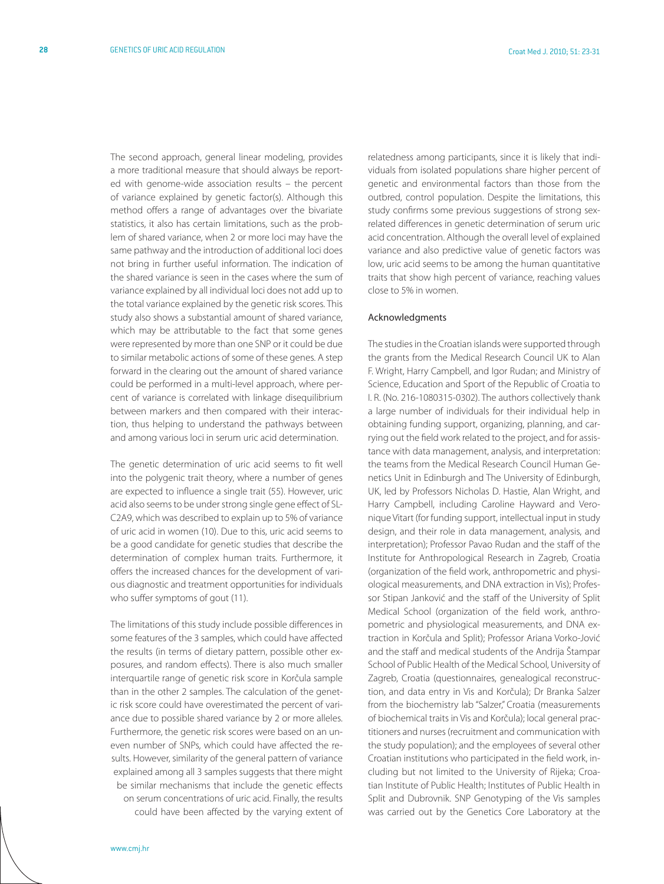The second approach, general linear modeling, provides a more traditional measure that should always be reported with genome-wide association results – the percent of variance explained by genetic factor(s). Although this method offers a range of advantages over the bivariate statistics, it also has certain limitations, such as the problem of shared variance, when 2 or more loci may have the same pathway and the introduction of additional loci does not bring in further useful information. The indication of the shared variance is seen in the cases where the sum of variance explained by all individual loci does not add up to the total variance explained by the genetic risk scores. This study also shows a substantial amount of shared variance, which may be attributable to the fact that some genes were represented by more than one SNP or it could be due to similar metabolic actions of some of these genes. A step forward in the clearing out the amount of shared variance could be performed in a multi-level approach, where percent of variance is correlated with linkage disequilibrium between markers and then compared with their interaction, thus helping to understand the pathways between and among various loci in serum uric acid determination.

The genetic determination of uric acid seems to fit well into the polygenic trait theory, where a number of genes are expected to influence a single trait (55). However, uric acid also seems to be under strong single gene effect of SL-C2A9, which was described to explain up to 5% of variance of uric acid in women (10). Due to this, uric acid seems to be a good candidate for genetic studies that describe the determination of complex human traits. Furthermore, it offers the increased chances for the development of various diagnostic and treatment opportunities for individuals who suffer symptoms of gout (11).

The limitations of this study include possible differences in some features of the 3 samples, which could have affected the results (in terms of dietary pattern, possible other exposures, and random effects). There is also much smaller interquartile range of genetic risk score in Korčula sample than in the other 2 samples. The calculation of the genetic risk score could have overestimated the percent of variance due to possible shared variance by 2 or more alleles. Furthermore, the genetic risk scores were based on an uneven number of SNPs, which could have affected the results. However, similarity of the general pattern of variance explained among all 3 samples suggests that there might be similar mechanisms that include the genetic effects on serum concentrations of uric acid. Finally, the results could have been affected by the varying extent of

relatedness among participants, since it is likely that individuals from isolated populations share higher percent of genetic and environmental factors than those from the outbred, control population. Despite the limitations, this study confirms some previous suggestions of strong sexrelated differences in genetic determination of serum uric acid concentration. Although the overall level of explained variance and also predictive value of genetic factors was low, uric acid seems to be among the human quantitative traits that show high percent of variance, reaching values close to 5% in women.

#### Acknowledgments

The studies in the Croatian islands were supported through the grants from the Medical Research Council UK to Alan F. Wright, Harry Campbell, and Igor Rudan; and Ministry of Science, Education and Sport of the Republic of Croatia to I. R. (No. 216-1080315-0302). The authors collectively thank a large number of individuals for their individual help in obtaining funding support, organizing, planning, and carrying out the field work related to the project, and for assistance with data management, analysis, and interpretation: the teams from the Medical Research Council Human Genetics Unit in Edinburgh and The University of Edinburgh, UK, led by Professors Nicholas D. Hastie, Alan Wright, and Harry Campbell, including Caroline Hayward and Veronique Vitart (for funding support, intellectual input in study design, and their role in data management, analysis, and interpretation); Professor Pavao Rudan and the staff of the Institute for Anthropological Research in Zagreb, Croatia (organization of the field work, anthropometric and physiological measurements, and DNA extraction in Vis); Professor Stipan Janković and the staff of the University of Split Medical School (organization of the field work, anthropometric and physiological measurements, and DNA extraction in Korčula and Split); Professor Ariana Vorko-Jović and the staff and medical students of the Andrija Štampar School of Public Health of the Medical School, University of Zagreb, Croatia (questionnaires, genealogical reconstruction, and data entry in Vis and Korčula); Dr Branka Salzer from the biochemistry lab "Salzer," Croatia (measurements of biochemical traits in Vis and Korčula); local general practitioners and nurses (recruitment and communication with the study population); and the employees of several other Croatian institutions who participated in the field work, including but not limited to the University of Rijeka; Croatian Institute of Public Health; Institutes of Public Health in Split and Dubrovnik. SNP Genotyping of the Vis samples was carried out by the Genetics Core Laboratory at the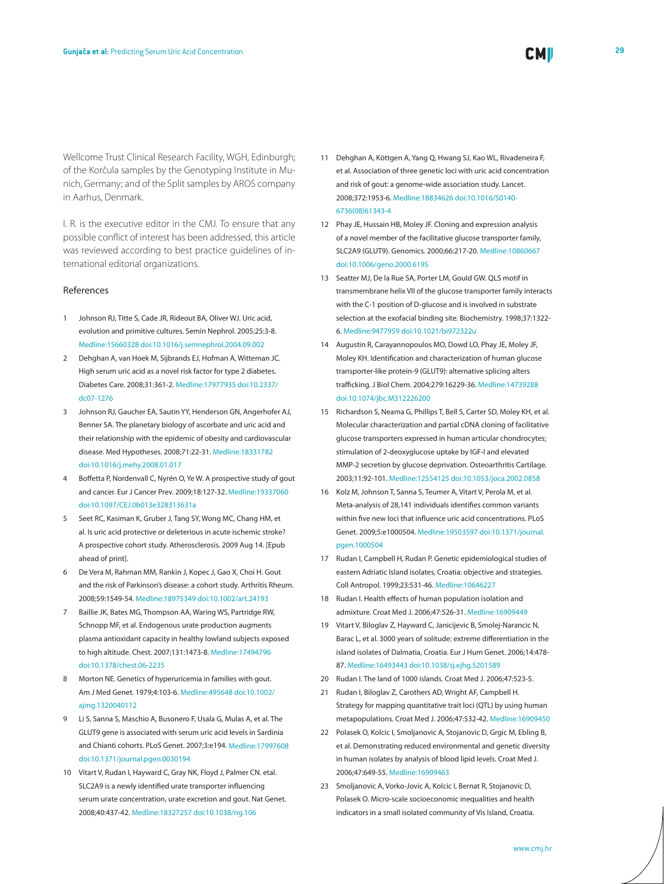Wellcome Trust Clinical Research Facility, WGH, Edinburgh; of the Korčula samples by the Genotyping Institute in Munich, Germany; and of the Split samples by AROS company in Aarhus, Denmark.

I. R. is the executive editor in the CMJ. To ensure that any possible conflict of interest has been addressed, this article was reviewed according to best practice guidelines of international editorial organizations.

#### References

- 1 Johnson RJ, Titte S, Cade JR, Rideout BA, Oliver WJ. Uric acid, evolution and primitive cultures. Semin Nephrol. 2005;25:3-8[.](http://www.ncbi.nlm.nih.gov/sites/entrez?cmd=Retrieve&db=PubMed&list_uids=15660328&dopt=Abstrac) [Medline:15660328](http://www.ncbi.nlm.nih.gov/sites/entrez?cmd=Retrieve&db=PubMed&list_uids=15660328&dopt=Abstrac) [doi:10.1016/j.semnephrol.2004.09.002](http://dx.doi.org/10.1016/j.semnephrol.2004.09.002)
- 2 Dehghan A, van Hoek M, Sijbrands EJ, Hofman A, Witteman JC. High serum uric acid as a novel risk factor for type 2 diabetes. Diabetes Care. 2008;31:361-2[. Medline:17977935](http://www.ncbi.nlm.nih.gov/sites/entrez?cmd=Retrieve&db=PubMed&list_uids=17977935&dopt=Abstrac) [doi:10.2337/](http://dx.doi.org/10.2337/dc07-1276) [dc07-1276](http://dx.doi.org/10.2337/dc07-1276)
- 3 Johnson RJ, Gaucher EA, Sautin YY, Henderson GN, Angerhofer AJ, Benner SA. The planetary biology of ascorbate and uric acid and their relationship with the epidemic of obesity and cardiovascular disease. Med Hypotheses. 2008;71:22-31[. Medline:18331782](http://www.ncbi.nlm.nih.gov/sites/entrez?cmd=Retrieve&db=PubMed&list_uids=18331782&dopt=Abstrac) [doi:10.1016/j.mehy.2008.01.017](http://dx.doi.org/10.1016/j.mehy.2008.01.017)
- 4 Boffetta P, Nordenvall C, Nyrén O, Ye W. A prospective study of gout and cancer. Eur J Cancer Prev. 2009;18:127-32[. Medline:19337060](http://www.ncbi.nlm.nih.gov/sites/entrez?cmd=Retrieve&db=PubMed&list_uids=19337060&dopt=Abstrac) [doi:10.1097/CEJ.0b013e328313631a](http://dx.doi.org/10.1097/CEJ.0b013e328313631a)
- 5 Seet RC, Kasiman K, Gruber J, Tang SY, Wong MC, Chang HM, et al. Is uric acid protective or deleterious in acute ischemic stroke? A prospective cohort study. Atherosclerosis. 2009 Aug 14. [Epub ahead of print].
- 6 De Vera M, Rahman MM, Rankin J, Kopec J, Gao X, Choi H. Gout and the risk of Parkinson's disease: a cohort study. Arthritis Rheum. 2008;59:1549-54[. Medline:18975349](http://www.ncbi.nlm.nih.gov/sites/entrez?cmd=Retrieve&db=PubMed&list_uids=18975349&dopt=Abstrac) [doi:10.1002/art.24193](http://dx.doi.org/10.1002/art.24193)
- Baillie JK, Bates MG, Thompson AA, Waring WS, Partridge RW, Schnopp MF, et al. Endogenous urate production augments plasma antioxidant capacity in healthy lowland subjects exposed to high altitude. Chest. 2007;131:1473-8. [Medline:17494796](http://www.ncbi.nlm.nih.gov/sites/entrez?cmd=Retrieve&db=PubMed&list_uids=17494796&dopt=Abstrac) [doi:10.1378/chest.06-2235](http://dx.doi.org/10.1378/chest.06-2235)
- 8 Morton NE. Genetics of hyperuricemia in families with gout. Am J Med Genet. 1979;4:103-6[. Medline:495648](http://www.ncbi.nlm.nih.gov/sites/entrez?cmd=Retrieve&db=PubMed&list_uids=495648&dopt=Abstrac) [doi:10.1002/](http://dx.doi.org/10.1002/ajmg.1320040112) [ajmg.1320040112](http://dx.doi.org/10.1002/ajmg.1320040112)
- 9 Li S, Sanna S, Maschio A, Busonero F, Usala G, Mulas A, et al. The GLUT9 gene is associated with serum uric acid levels in Sardinia and Chianti cohorts. PLoS Genet. 2007;3:e194. [Medline:17997608](http://www.ncbi.nlm.nih.gov/sites/entrez?cmd=Retrieve&db=PubMed&list_uids=17997608&dopt=Abstrac) [doi:10.1371/journal.pgen.0030194](http://dx.doi.org/10.1371/journal.pgen.0030194)
- 10 Vitart V, Rudan I, Hayward C, Gray NK, Floyd J, Palmer CN. etal. SLC2A9 is a newly identified urate transporter influencing serum urate concentration, urate excretion and gout. Nat Genet. 2008;40:437-42. [Medline:18327257](http://www.ncbi.nlm.nih.gov/sites/entrez?cmd=Retrieve&db=PubMed&list_uids=18327257&dopt=Abstrac) [doi:10.1038/ng.106](http://dx.doi.org/10.1038/ng.106)
- 11 Dehghan A, Köttgen A, Yang Q, Hwang SJ, Kao WL, Rivadeneira F, et al. Association of three genetic loci with uric acid concentration and risk of gout: a genome-wide association study. Lancet. 2008;372:1953-6[. Medline:18834626](http://www.ncbi.nlm.nih.gov/sites/entrez?cmd=Retrieve&db=PubMed&list_uids=18834626&dopt=Abstrac) [doi:10.1016/S0140-](http://dx.doi.org/10.1016/S0140-6736(08)61343-4) [6736\(08\)61343-4](http://dx.doi.org/10.1016/S0140-6736(08)61343-4)
- 12 Phay JE, Hussain HB, Moley JF. Cloning and expression analysis of a novel member of the facilitative glucose transporter family, SLC2A9 (GLUT9). Genomics. 2000;66:217-20[. Medline:10860667](http://www.ncbi.nlm.nih.gov/sites/entrez?cmd=Retrieve&db=PubMed&list_uids=10860667&dopt=Abstrac) [doi:10.1006/geno.2000.6195](http://dx.doi.org/10.1006/geno.2000.6195)
- 13 Seatter MJ, De la Rue SA, Porter LM, Gould GW. QLS motif in transmembrane helix VII of the glucose transporter family interacts with the C-1 position of D-glucose and is involved in substrate selection at the exofacial binding site. Biochemistry. 1998;37:1322- 6. [Medline:9477959](http://www.ncbi.nlm.nih.gov/sites/entrez?cmd=Retrieve&db=PubMed&list_uids=9477959&dopt=Abstrac) [doi:10.1021/bi972322u](http://dx.doi.org/10.1021/bi972322u)
- 14 Augustin R, Carayannopoulos MO, Dowd LO, Phay JE, Moley JF, Moley KH. Identification and characterization of human glucose transporter-like protein-9 (GLUT9): alternative splicing alters trafficking. J Biol Chem. 2004;279:16229-36. [Medline:14739288](http://www.ncbi.nlm.nih.gov/sites/entrez?cmd=Retrieve&db=PubMed&list_uids=14739288&dopt=Abstrac) [doi:10.1074/jbc.M312226200](http://dx.doi.org/10.1074/jbc.M312226200)
- 15 Richardson S, Neama G, Phillips T, Bell S, Carter SD, Moley KH, et al. Molecular characterization and partial cDNA cloning of facilitative glucose transporters expressed in human articular chondrocytes; stimulation of 2-deoxyglucose uptake by IGF-I and elevated MMP-2 secretion by glucose deprivation. Osteoarthritis Cartilage. 2003;11:92-101. [Medline:12554125](http://www.ncbi.nlm.nih.gov/sites/entrez?cmd=Retrieve&db=PubMed&list_uids=12554125&dopt=Abstrac) [doi:10.1053/joca.2002.0858](http://dx.doi.org/10.1053/joca.2002.0858)
- 16 Kolz M, Johnson T, Sanna S, Teumer A, Vitart V, Perola M, et al. Meta-analysis of 28,141 individuals identifies common variants within five new loci that influence uric acid concentrations. PLoS Genet. 2009;5:e1000504[. Medline:19503597](http://www.ncbi.nlm.nih.gov/sites/entrez?cmd=Retrieve&db=PubMed&list_uids=19503597&dopt=Abstrac) [doi:10.1371/journal.](http://dx.doi.org/10.1371/journal.pgen.1000504) [pgen.1000504](http://dx.doi.org/10.1371/journal.pgen.1000504)
- 17 Rudan I, Campbell H, Rudan P. Genetic epidemiological studies of eastern Adriatic Island isolates, Croatia: objective and strategies. Coll Antropol. 1999;23:531-46[. Medline:10646227](http://www.ncbi.nlm.nih.gov/sites/entrez?cmd=Retrieve&db=PubMed&list_uids=10646227&dopt=Abstrac)
- 18 Rudan I. Health effects of human population isolation and admixture. Croat Med J. 2006;47:526-31. [Medline:16909449](http://www.ncbi.nlm.nih.gov/sites/entrez?cmd=Retrieve&db=PubMed&list_uids=16909449&dopt=Abstrac)
- 19 Vitart V, Biloglav Z, Hayward C, Janicijevic B, Smolej-Narancic N, Barac L, et al. 3000 years of solitude: extreme differentiation in the island isolates of Dalmatia, Croatia. Eur J Hum Genet. 2006;14:478- 87[. Medline:16493443](http://www.ncbi.nlm.nih.gov/sites/entrez?cmd=Retrieve&db=PubMed&list_uids=16493443&dopt=Abstrac) [doi:10.1038/sj.ejhg.5201589](http://dx.doi.org/10.1038/sj.ejhg.5201589)
- 20 Rudan I. The land of 1000 islands. Croat Med J. 2006;47:523-5.
- 21 Rudan I, Biloglav Z, Carothers AD, Wright AF, Campbell H. Strategy for mapping quantitative trait loci (QTL) by using human metapopulations. Croat Med J. 2006;47:532-42[. Medline:16909450](http://www.ncbi.nlm.nih.gov/sites/entrez?cmd=Retrieve&db=PubMed&list_uids=16909450&dopt=Abstrac)
- 22 Polasek O, Kolcic I, Smoljanovic A, Stojanovic D, Grgic M, Ebling B, et al. Demonstrating reduced environmental and genetic diversity in human isolates by analysis of blood lipid levels. Croat Med J. 2006;47:649-55. [Medline:16909463](http://www.ncbi.nlm.nih.gov/sites/entrez?cmd=Retrieve&db=PubMed&list_uids=16909463&dopt=Abstrac)
- 23 Smoljanovic A, Vorko-Jovic A, Kolcic I, Bernat R, Stojanovic D, Polasek O. Micro-scale socioeconomic inequalities and health indicators in a small isolated community of Vis Island, Croatia.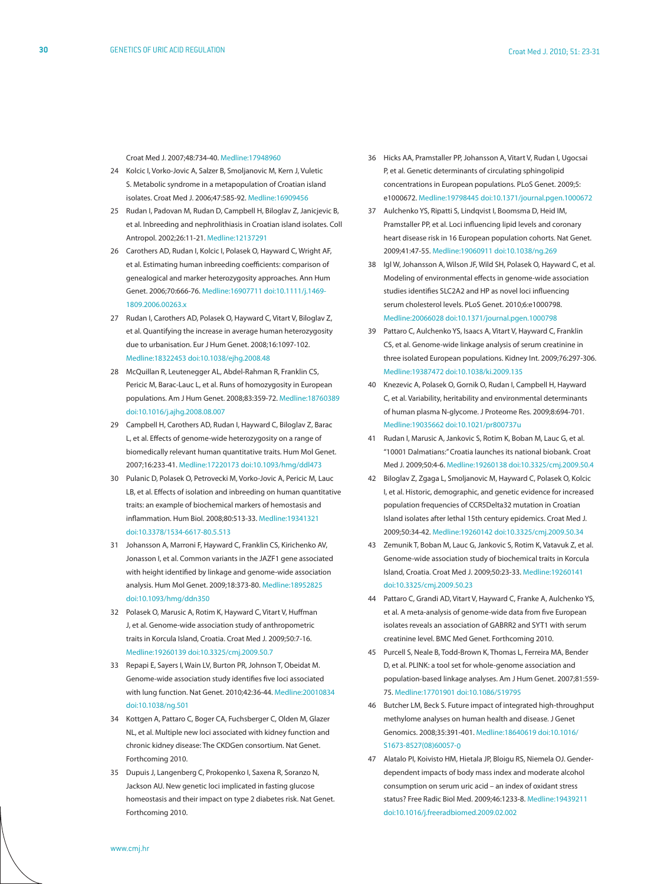Croat Med J. 2007;48:734-40. [Medline:17948960](http://www.ncbi.nlm.nih.gov/sites/entrez?cmd=Retrieve&db=PubMed&list_uids=17948960&dopt=Abstrac)

- 24 Kolcic I, Vorko-Jovic A, Salzer B, Smoljanovic M, Kern J, Vuletic S. Metabolic syndrome in a metapopulation of Croatian island isolates. Croat Med J. 2006;47:585-92[. Medline:16909456](http://www.ncbi.nlm.nih.gov/sites/entrez?cmd=Retrieve&db=PubMed&list_uids=16909456&dopt=Abstrac)
- 25 Rudan I, Padovan M, Rudan D, Campbell H, Biloglav Z, Janicjevic B, et al. Inbreeding and nephrolithiasis in Croatian island isolates. Coll Antropol. 2002;26:11-21[. Medline:12137291](http://www.ncbi.nlm.nih.gov/sites/entrez?cmd=Retrieve&db=PubMed&list_uids=12137291&dopt=Abstrac)
- 26 Carothers AD, Rudan I, Kolcic I, Polasek O, Hayward C, Wright AF, et al. Estimating human inbreeding coefficients: comparison of genealogical and marker heterozygosity approaches. Ann Hum Genet. 2006;70:666-76. [Medline:16907711](http://www.ncbi.nlm.nih.gov/sites/entrez?cmd=Retrieve&db=PubMed&list_uids=16907711&dopt=Abstrac) [doi:10.1111/j.1469-](http://dx.doi.org/10.1111/j.1469-1809.2006.00263.x) [1809.2006.00263.x](http://dx.doi.org/10.1111/j.1469-1809.2006.00263.x)
- 27 Rudan I, Carothers AD, Polasek O, Hayward C, Vitart V, Biloglav Z, et al. Quantifying the increase in average human heterozygosity due to urbanisation. Eur J Hum Genet. 2008;16:1097-102[.](http://www.ncbi.nlm.nih.gov/sites/entrez?cmd=Retrieve&db=PubMed&list_uids=18322453&dopt=Abstrac) [Medline:18322453](http://www.ncbi.nlm.nih.gov/sites/entrez?cmd=Retrieve&db=PubMed&list_uids=18322453&dopt=Abstrac) [doi:10.1038/ejhg.2008.48](http://dx.doi.org/10.1038/ejhg.2008.48)
- 28 McQuillan R, Leutenegger AL, Abdel-Rahman R, Franklin CS, Pericic M, Barac-Lauc L, et al. Runs of homozygosity in European populations. Am J Hum Genet. 2008;83:359-72[. Medline:18760389](http://www.ncbi.nlm.nih.gov/sites/entrez?cmd=Retrieve&db=PubMed&list_uids=18760389&dopt=Abstrac) [doi:10.1016/j.ajhg.2008.08.007](http://dx.doi.org/10.1016/j.ajhg.2008.08.007)
- 29 Campbell H, Carothers AD, Rudan I, Hayward C, Biloglav Z, Barac L, et al. Effects of genome-wide heterozygosity on a range of biomedically relevant human quantitative traits. Hum Mol Genet. 2007;16:233-41[. Medline:17220173](http://www.ncbi.nlm.nih.gov/sites/entrez?cmd=Retrieve&db=PubMed&list_uids=17220173&dopt=Abstrac) [doi:10.1093/hmg/ddl473](http://dx.doi.org/10.1093/hmg/ddl473)
- 30 Pulanic D, Polasek O, Petrovecki M, Vorko-Jovic A, Pericic M, Lauc LB, et al. Effects of isolation and inbreeding on human quantitative traits: an example of biochemical markers of hemostasis and inflammation. Hum Biol. 2008;80:513-33. [Medline:19341321](http://www.ncbi.nlm.nih.gov/sites/entrez?cmd=Retrieve&db=PubMed&list_uids=19341321&dopt=Abstrac) [doi:10.3378/1534-6617-80.5.513](http://dx.doi.org/10.3378/1534-6617-80.5.513)
- 31 Johansson A, Marroni F, Hayward C, Franklin CS, Kirichenko AV, Jonasson I, et al. Common variants in the JAZF1 gene associated with height identified by linkage and genome-wide association analysis. Hum Mol Genet. 2009;18:373-80. [Medline:18952825](http://www.ncbi.nlm.nih.gov/sites/entrez?cmd=Retrieve&db=PubMed&list_uids=18952825&dopt=Abstrac) [doi:10.1093/hmg/ddn350](http://dx.doi.org/10.1093/hmg/ddn350)
- 32 Polasek O, Marusic A, Rotim K, Hayward C, Vitart V, Huffman J, et al. Genome-wide association study of anthropometric traits in Korcula Island, Croatia. Croat Med J. 2009;50:7-16. [Medline:19260139](http://www.ncbi.nlm.nih.gov/sites/entrez?cmd=Retrieve&db=PubMed&list_uids=19260139&dopt=Abstrac) [doi:10.3325/cmj.2009.50.7](http://dx.doi.org/10.3325/cmj.2009.50.7)
- 33 Repapi E, Sayers I, Wain LV, Burton PR, Johnson T, Obeidat M. Genome-wide association study identifies five loci associated with lung function. Nat Genet. 2010;42:36-44. [Medline:20010834](http://www.ncbi.nlm.nih.gov/sites/entrez?cmd=Retrieve&db=PubMed&list_uids=20010834&dopt=Abstrac) [doi:10.1038/ng.501](http://dx.doi.org/10.1038/ng.501)
- 34 Kottgen A, Pattaro C, Boger CA, Fuchsberger C, Olden M, Glazer NL, et al. Multiple new loci associated with kidney function and chronic kidney disease: The CKDGen consortium. Nat Genet. Forthcoming 2010.
- 35 Dupuis J, Langenberg C, Prokopenko I, Saxena R, Soranzo N, Jackson AU. New genetic loci implicated in fasting glucose homeostasis and their impact on type 2 diabetes risk. Nat Genet. Forthcoming 2010.
- 36 Hicks AA, Pramstaller PP, Johansson A, Vitart V, Rudan I, Ugocsai P, et al. Genetic determinants of circulating sphingolipid concentrations in European populations. PLoS Genet. 2009;5: e1000672[. Medline:19798445](http://www.ncbi.nlm.nih.gov/sites/entrez?cmd=Retrieve&db=PubMed&list_uids=19798445&dopt=Abstrac) [doi:10.1371/journal.pgen.1000672](http://dx.doi.org/10.1371/journal.pgen.1000672)
- 37 Aulchenko YS, Ripatti S, Lindqvist I, Boomsma D, Heid IM, Pramstaller PP, et al. Loci influencing lipid levels and coronary heart disease risk in 16 European population cohorts. Nat Genet. 2009;41:47-55. [Medline:19060911](http://www.ncbi.nlm.nih.gov/sites/entrez?cmd=Retrieve&db=PubMed&list_uids=19060911&dopt=Abstrac) [doi:10.1038/ng.269](http://dx.doi.org/10.1038/ng.269)
- 38 Igl W, Johansson A, Wilson JF, Wild SH, Polasek O, Hayward C, et al. Modeling of environmental effects in genome-wide association studies identifies SLC2A2 and HP as novel loci influencing serum cholesterol levels. PLoS Genet. 2010;6:e1000798[.](http://www.ncbi.nlm.nih.gov/sites/entrez?cmd=Retrieve&db=PubMed&list_uids=20066028&dopt=Abstrac) [Medline:20066028](http://www.ncbi.nlm.nih.gov/sites/entrez?cmd=Retrieve&db=PubMed&list_uids=20066028&dopt=Abstrac) [doi:10.1371/journal.pgen.1000798](http://dx.doi.org/10.1371/journal.pgen.1000798)
- 39 Pattaro C, Aulchenko YS, Isaacs A, Vitart V, Hayward C, Franklin CS, et al. Genome-wide linkage analysis of serum creatinine in three isolated European populations. Kidney Int. 2009;76:297-306[.](http://www.ncbi.nlm.nih.gov/sites/entrez?cmd=Retrieve&db=PubMed&list_uids=19387472&dopt=Abstrac) [Medline:19387472](http://www.ncbi.nlm.nih.gov/sites/entrez?cmd=Retrieve&db=PubMed&list_uids=19387472&dopt=Abstrac) [doi:10.1038/ki.2009.135](http://dx.doi.org/10.1038/ki.2009.135)
- 40 Knezevic A, Polasek O, Gornik O, Rudan I, Campbell H, Hayward C, et al. Variability, heritability and environmental determinants of human plasma N-glycome. J Proteome Res. 2009;8:694-701[.](http://www.ncbi.nlm.nih.gov/sites/entrez?cmd=Retrieve&db=PubMed&list_uids=19035662&dopt=Abstrac) [Medline:19035662](http://www.ncbi.nlm.nih.gov/sites/entrez?cmd=Retrieve&db=PubMed&list_uids=19035662&dopt=Abstrac) [doi:10.1021/pr800737u](http://dx.doi.org/10.1021/pr800737u)
- 41 Rudan I, Marusic A, Jankovic S, Rotim K, Boban M, Lauc G, et al. "10001 Dalmatians:" Croatia launches its national biobank. Croat Med J. 2009;50:4-6. [Medline:19260138](http://www.ncbi.nlm.nih.gov/sites/entrez?cmd=Retrieve&db=PubMed&list_uids=19260138&dopt=Abstrac) [doi:10.3325/cmj.2009.50.4](http://dx.doi.org/10.3325/cmj.2009.50.4)
- 42 Biloglav Z, Zgaga L, Smoljanovic M, Hayward C, Polasek O, Kolcic I, et al. Historic, demographic, and genetic evidence for increased population frequencies of CCR5Delta32 mutation in Croatian Island isolates after lethal 15th century epidemics. Croat Med J. 2009;50:34-42. [Medline:19260142](http://www.ncbi.nlm.nih.gov/sites/entrez?cmd=Retrieve&db=PubMed&list_uids=19260142&dopt=Abstrac) [doi:10.3325/cmj.2009.50.34](http://dx.doi.org/10.3325/cmj.2009.50.34)
- 43 Zemunik T, Boban M, Lauc G, Jankovic S, Rotim K, Vatavuk Z, et al. Genome-wide association study of biochemical traits in Korcula Island, Croatia. Croat Med J. 2009;50:23-33. [Medline:19260141](http://www.ncbi.nlm.nih.gov/sites/entrez?cmd=Retrieve&db=PubMed&list_uids=19260141&dopt=Abstrac) [doi:10.3325/cmj.2009.50.23](http://dx.doi.org/10.3325/cmj.2009.50.23)
- 44 Pattaro C, Grandi AD, Vitart V, Hayward C, Franke A, Aulchenko YS, et al. A meta-analysis of genome-wide data from five European isolates reveals an association of GABRR2 and SYT1 with serum creatinine level. BMC Med Genet. Forthcoming 2010.
- 45 Purcell S, Neale B, Todd-Brown K, Thomas L, Ferreira MA, Bender D, et al. PLINK: a tool set for whole-genome association and population-based linkage analyses. Am J Hum Genet. 2007;81:559- 75. [Medline:17701901](http://www.ncbi.nlm.nih.gov/sites/entrez?cmd=Retrieve&db=PubMed&list_uids=17701901&dopt=Abstrac) [doi:10.1086/519795](http://dx.doi.org/10.1086/519795)
- 46 Butcher LM, Beck S. Future impact of integrated high-throughput methylome analyses on human health and disease. J Genet Genomics. 2008;35:391-401. [Medline:18640619](http://www.ncbi.nlm.nih.gov/sites/entrez?cmd=Retrieve&db=PubMed&list_uids=18640619&dopt=Abstrac) [doi:10.1016/](http://dx.doi.org/10.1016/S1673-8527(08)60057-0) [S1673-8527\(08\)60057-0](http://dx.doi.org/10.1016/S1673-8527(08)60057-0)
- 47 Alatalo PI, Koivisto HM, Hietala JP, Bloigu RS, Niemela OJ. Genderdependent impacts of body mass index and moderate alcohol consumption on serum uric acid – an index of oxidant stress status? Free Radic Biol Med. 2009;46:1233-8. [Medline:19439211](http://www.ncbi.nlm.nih.gov/sites/entrez?cmd=Retrieve&db=PubMed&list_uids=19439211&dopt=Abstrac) [doi:10.1016/j.freeradbiomed.2009.02.002](http://dx.doi.org/10.1016/j.freeradbiomed.2009.02.002)